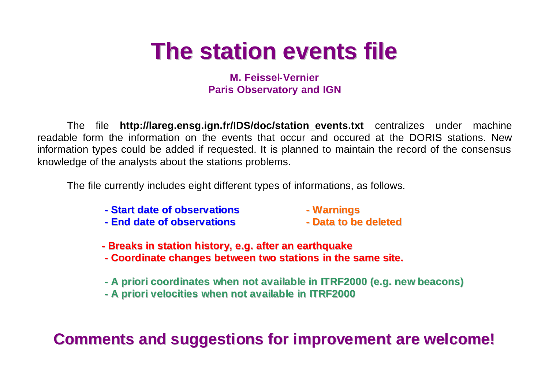## **The station events file**

**M. Feissel-Vernier Paris Observatory and IGN**

The file **http://lareg.ensg.ign.fr/IDS/doc/station\_events.txt** centralizes under machine readable form the information on the events that occur and occured at the DORIS stations. New information types could be added if requested. It is planned to maintain the record of the consensus knowledge of the analysts about the stations problems.

The file currently includes eight different types of informations, as follows.

- **- Start date of observations - Warnings**
- 
- **- End date of observations - Data to be deleted**
- 
- **- Breaks in station history, e.g. after an earthquake**
- **- Coordinate changes between two stations in the same site.**
- **- A priori coordinates when not available in ITRF2000 (e.g. new beacons)**
- **- A priori velocities when not available in ITRF2000**

**Comments and suggestions for improvement are welcome!**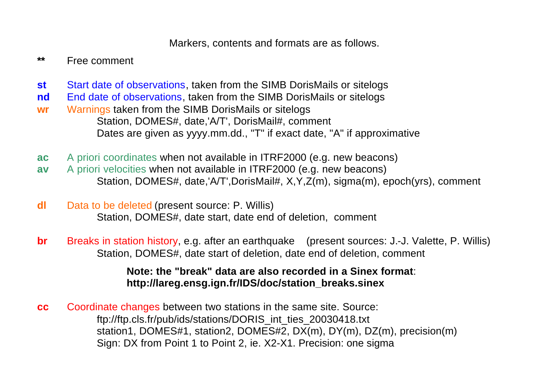Markers, contents and formats are as follows.

**\*\*** Free comment

- **st** Start date of observations, taken from the SIMB DorisMails or sitelogs
- **nd** End date of observations, taken from the SIMB DorisMails or sitelogs
- **wr** Warnings taken from the SIMB DorisMails or sitelogs Station, DOMES#, date,'A/T', DorisMail#, comment Dates are given as yyyy.mm.dd., "T" if exact date, "A" if approximative
- **ac** A priori coordinates when not available in ITRF2000 (e.g. new beacons)
- **av** A priori velocities when not available in ITRF2000 (e.g. new beacons) Station, DOMES#, date,'A/T',DorisMail#, X,Y,Z(m), sigma(m), epoch(yrs), comment
- **dl** Data to be deleted (present source: P. Willis) Station, DOMES#, date start, date end of deletion, comment
- **br** Breaks in station history, e.g. after an earthquake (present sources: J.-J. Valette, P. Willis) Station, DOMES#, date start of deletion, date end of deletion, comment

**Note: the "break" data are also recorded in a Sinex format**: **http://lareg.ensg.ign.fr/IDS/doc/station\_breaks.sinex**

**cc** Coordinate changes between two stations in the same site. Source: ftp://ftp.cls.fr/pub/ids/stations/DORIS\_int\_ties\_20030418.txt station1, DOMES#1, station2, DOMES#2, DX(m), DY(m), DZ(m), precision(m) Sign: DX from Point 1 to Point 2, ie. X2-X1. Precision: one sigma